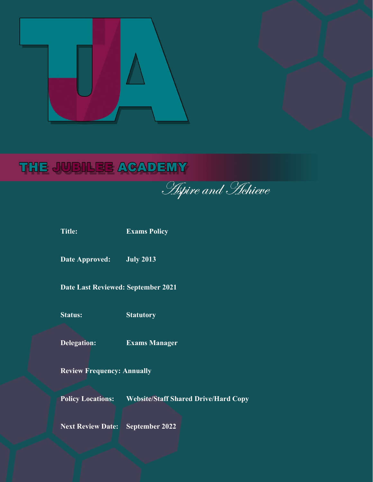# THE JUBILEE ACADEMY

**Apire and Hehieve** 

**Title: Exams Policy**

**Date Approved: July 2013**

**Date Last Reviewed: September 2021**

**Status: Statutory**

**Delegation: Exams Manager**

**Review Frequency: Annually**

**Policy Locations: Website/Staff Shared Drive/Hard Copy**

**Next Review Date: September 2022**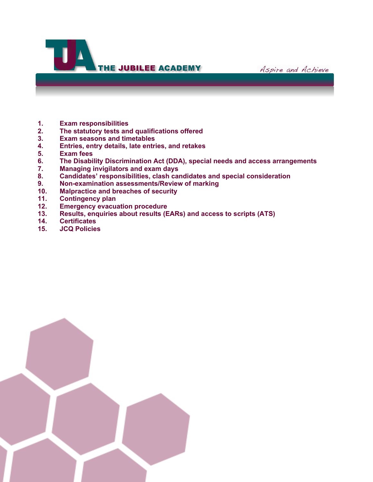



- **1. Exam responsibilities**
- **2. The statutory tests and qualifications offered**
- **3. Exam seasons and timetables**
- **4. Entries, entry details, late entries, and retakes**
- **5. Exam fees**
- **6. The Disability Discrimination Act (DDA), special needs and access arrangements**
- **7. Managing invigilators and exam days**
- **8. Candidates' responsibilities, clash candidates and special consideration**
- **9. Non-examination assessments/Review of marking**
- **10. Malpractice and breaches of security**
- **11. Contingency plan**
- **12. Emergency evacuation procedure**
- **13. Results, enquiries about results (EARs) and access to scripts (ATS)**
- **14. Certificates**
- **15. JCQ Policies**

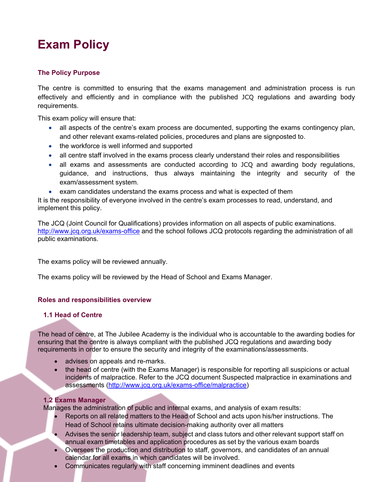# **Exam Policy**

# **The Policy Purpose**

The centre is committed to ensuring that the exams management and administration process is run effectively and efficiently and in compliance with the published JCQ regulations and awarding body requirements.

This exam policy will ensure that:

- all aspects of the centre's exam process are documented, supporting the exams contingency plan, and other relevant exams-related policies, procedures and plans are signposted to.
- the workforce is well informed and supported
- all centre staff involved in the exams process clearly understand their roles and responsibilities
- all exams and assessments are conducted according to JCQ and awarding body regulations, guidance, and instructions, thus always maintaining the integrity and security of the exam/assessment system.
- exam candidates understand the exams process and what is expected of them

It is the responsibility of everyone involved in the centre's exam processes to read, understand, and implement this policy.

The JCQ (Joint Council for Qualifications) provides information on all aspects of public examinations. <http://www.jcq.org.uk/exams-office> and the school follows JCQ protocols regarding the administration of all public examinations.

The exams policy will be reviewed annually.

The exams policy will be reviewed by the Head of School and Exams Manager.

# **Roles and responsibilities overview**

# **1.1 Head of Centre**

The head of centre, at The Jubilee Academy is the individual who is accountable to the awarding bodies for ensuring that the centre is always compliant with the published JCQ regulations and awarding body requirements in order to ensure the security and integrity of the examinations/assessments.

- advises on appeals and re-marks.
- the head of centre (with the Exams Manager) is responsible for reporting all suspicions or actual incidents of malpractice. Refer to the JCQ document Suspected malpractice in examinations and assessments [\(http://www.jcq.org.uk/exams-office/malpractice\)](http://www.jcq.org.uk/exams-office/malpractice)

#### **1.2 Exams Manager**

Manages the administration of public and internal exams, and analysis of exam results:

- Reports on all related matters to the Head of School and acts upon his/her instructions. The Head of School retains ultimate decision-making authority over all matters
- Advises the senior leadership team, subject and class tutors and other relevant support staff on annual exam timetables and application procedures as set by the various exam boards
- Oversees the production and distribution to staff, governors, and candidates of an annual calendar for all exams in which candidates will be involved.
- Communicates regularly with staff concerning imminent deadlines and events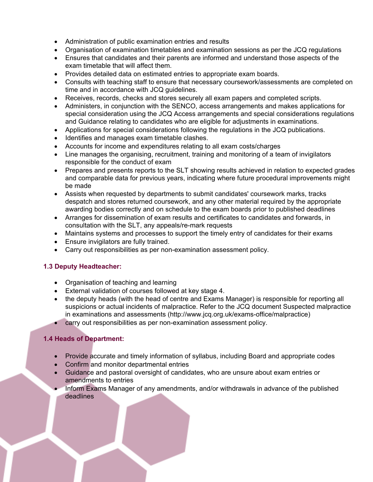- Administration of public examination entries and results
- Organisation of examination timetables and examination sessions as per the JCQ regulations
- Ensures that candidates and their parents are informed and understand those aspects of the exam timetable that will affect them.
- Provides detailed data on estimated entries to appropriate exam boards.
- Consults with teaching staff to ensure that necessary coursework/assessments are completed on time and in accordance with JCQ guidelines.
- Receives, records, checks and stores securely all exam papers and completed scripts.
- Administers, in conjunction with the SENCO, access arrangements and makes applications for special consideration using the JCQ Access arrangements and special considerations regulations and Guidance relating to candidates who are eligible for adjustments in examinations.
- Applications for special considerations following the regulations in the JCQ publications.
- Identifies and manages exam timetable clashes.
- Accounts for income and expenditures relating to all exam costs/charges
- Line manages the organising, recruitment, training and monitoring of a team of invigilators responsible for the conduct of exam
- Prepares and presents reports to the SLT showing results achieved in relation to expected grades and comparable data for previous years, indicating where future procedural improvements might be made
- Assists when requested by departments to submit candidates' coursework marks, tracks despatch and stores returned coursework, and any other material required by the appropriate awarding bodies correctly and on schedule to the exam boards prior to published deadlines
- Arranges for dissemination of exam results and certificates to candidates and forwards, in consultation with the SLT, any appeals/re-mark requests
- Maintains systems and processes to support the timely entry of candidates for their exams
- Ensure invigilators are fully trained.
- Carry out responsibilities as per non-examination assessment policy.

# **1.3 Deputy Headteacher:**

- Organisation of teaching and learning
- External validation of courses followed at key stage 4.
- the deputy heads (with the head of centre and Exams Manager) is responsible for reporting all suspicions or actual incidents of malpractice. Refer to the JCQ document Suspected malpractice in examinations and assessments (http://www.jcq.org.uk/exams-office/malpractice)
- carry out responsibilities as per non-examination assessment policy.

# **1.4 Heads of Department:**

- Provide accurate and timely information of syllabus, including Board and appropriate codes
- Confirm and monitor departmental entries
- Guidance and pastoral oversight of candidates, who are unsure about exam entries or amendments to entries
- Inform Exams Manager of any amendments, and/or withdrawals in advance of the published deadlines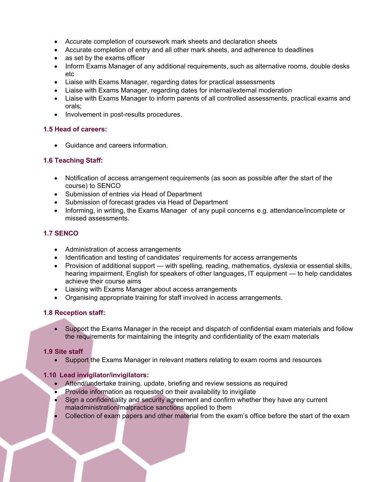- Accurate completion of coursework mark sheets and declaration sheets
- Accurate completion of entry and all other mark sheets, and adherence to deadlines
- as set by the exams officer
- Inform Exams Manager of any additional requirements, such as alternative rooms, double desks etc
- Liaise with Exams Manager, regarding dates for practical assessments
- Liaise with Exams Manager, regarding dates for internal/external moderation
- Liaise with Exams Manager to inform parents of all controlled assessments, practical exams and orals;
- Involvement in post-results procedures.

# **1.5 Head of careers:**

• Guidance and careers information.

# **1.6 Teaching Staff:**

- Notification of access arrangement requirements (as soon as possible after the start of the course) to SENCO
- Submission of entries via Head of Department
- Submission of forecast grades via Head of Department
- Informing, in writing, the Exams Manager of any pupil concerns e.g. attendance/incomplete or missed assessments.

# **1.7 SENCO**

- Administration of access arrangements
- Identification and testing of candidates' requirements for access arrangements
- Provision of additional support with spelling, reading, mathematics, dyslexia or essential skills, hearing impairment, English for speakers of other languages, IT equipment — to help candidates achieve their course aims
- Liaising with Exams Manager about access arrangements
- Organising appropriate training for staff involved in access arrangements.

# **1.8 Reception staff:**

• Support the Exams Manager in the receipt and dispatch of confidential exam materials and follow the requirements for maintaining the integrity and confidentiality of the exam materials

# **1.9 Site staff**

• Support the Exams Manager in relevant matters relating to exam rooms and resources

# **1.10 Lead invigilator/invigilators:**

- Attend/undertake training, update, briefing and review sessions as required
- Provide information as requested on their availability to invigilate
- Sign a confidentiality and security agreement and confirm whether they have any current maladministration/malpractice sanctions applied to them
- Collection of exam papers and other material from the exam's office before the start of the exam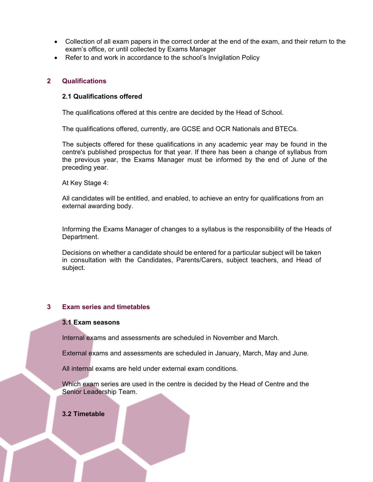- Collection of all exam papers in the correct order at the end of the exam, and their return to the exam's office, or until collected by Exams Manager
- Refer to and work in accordance to the school's Invigilation Policy

#### **2 Qualifications**

#### **2.1 Qualifications offered**

The qualifications offered at this centre are decided by the Head of School.

The qualifications offered, currently, are GCSE and OCR Nationals and BTECs.

The subjects offered for these qualifications in any academic year may be found in the centre's published prospectus for that year. If there has been a change of syllabus from the previous year, the Exams Manager must be informed by the end of June of the preceding year.

At Key Stage 4:

All candidates will be entitled, and enabled, to achieve an entry for qualifications from an external awarding body.

Informing the Exams Manager of changes to a syllabus is the responsibility of the Heads of Department.

Decisions on whether a candidate should be entered for a particular subject will be taken in consultation with the Candidates, Parents/Carers, subject teachers, and Head of subject.

# **3 Exam series and timetables**

### **3.1 Exam seasons**

Internal exams and assessments are scheduled in November and March.

External exams and assessments are scheduled in January, March, May and June.

All internal exams are held under external exam conditions.

Which exam series are used in the centre is decided by the Head of Centre and the Senior Leadership Team.

#### **3.2 Timetable**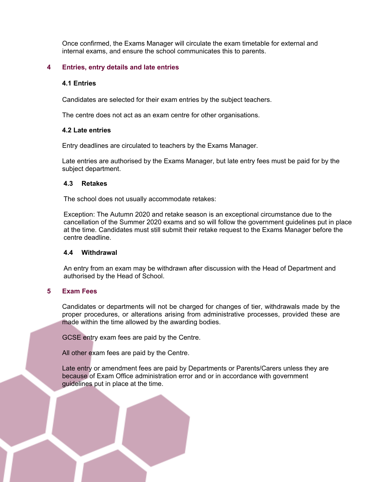Once confirmed, the Exams Manager will circulate the exam timetable for external and internal exams, and ensure the school communicates this to parents.

#### **4 Entries, entry details and late entries**

#### **4.1 Entries**

Candidates are selected for their exam entries by the subject teachers.

The centre does not act as an exam centre for other organisations.

#### **4.2 Late entries**

Entry deadlines are circulated to teachers by the Exams Manager.

Late entries are authorised by the Exams Manager, but late entry fees must be paid for by the subject department.

#### **4.3 Retakes**

The school does not usually accommodate retakes:

Exception: The Autumn 2020 and retake season is an exceptional circumstance due to the cancellation of the Summer 2020 exams and so will follow the government guidelines put in place at the time. Candidates must still submit their retake request to the Exams Manager before the centre deadline.

#### **4.4 Withdrawal**

An entry from an exam may be withdrawn after discussion with the Head of Department and authorised by the Head of School.

#### **5 Exam Fees**

Candidates or departments will not be charged for changes of tier, withdrawals made by the proper procedures, or alterations arising from administrative processes, provided these are made within the time allowed by the awarding bodies.

GCSE entry exam fees are paid by the Centre.

All other exam fees are paid by the Centre.

Late entry or amendment fees are paid by Departments or Parents/Carers unless they are because of Exam Office administration error and or in accordance with government guidelines put in place at the time.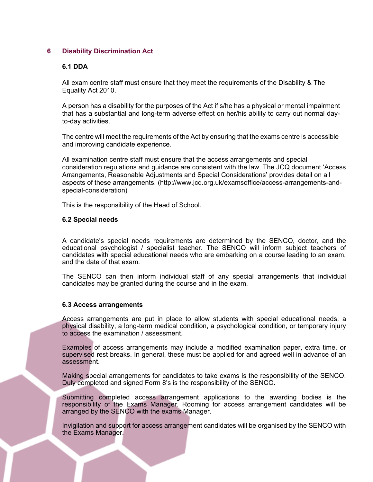#### **6 Disability Discrimination Act**

#### **6.1 DDA**

All exam centre staff must ensure that they meet the requirements of the Disability & The Equality Act 2010.

A person has a disability for the purposes of the Act if s/he has a physical or mental impairment that has a substantial and long-term adverse effect on her/his ability to carry out normal dayto-day activities.

The centre will meet the requirements of the Act by ensuring that the exams centre is accessible and improving candidate experience.

All examination centre staff must ensure that the access arrangements and special consideration regulations and guidance are consistent with the law. The JCQ document 'Access Arrangements, Reasonable Adjustments and Special Considerations' provides detail on all aspects of these arrangements. (http://www.jcq.org.uk/examsoffice/access-arrangements-andspecial-consideration)

This is the responsibility of the Head of School.

#### **6.2 Special needs**

A candidate's special needs requirements are determined by the SENCO, doctor, and the educational psychologist / specialist teacher. The SENCO will inform subject teachers of candidates with special educational needs who are embarking on a course leading to an exam, and the date of that exam.

The SENCO can then inform individual staff of any special arrangements that individual candidates may be granted during the course and in the exam.

#### **6.3 Access arrangements**

Access arrangements are put in place to allow students with special educational needs, a physical disability, a long-term medical condition, a psychological condition, or temporary injury to access the examination / assessment.

Examples of access arrangements may include a modified examination paper, extra time, or supervised rest breaks. In general, these must be applied for and agreed well in advance of an assessment.

Making special arrangements for candidates to take exams is the responsibility of the SENCO. Duly completed and signed Form 8's is the responsibility of the SENCO.

Submitting completed access arrangement applications to the awarding bodies is the responsibility of the Exams Manager. Rooming for access arrangement candidates will be arranged by the SENCO with the exams Manager.

Invigilation and support for access arrangement candidates will be organised by the SENCO with the Exams Manager.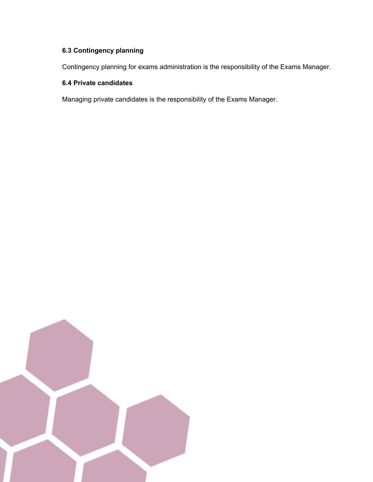# **6.3 Contingency planning**

Contingency planning for exams administration is the responsibility of the Exams Manager.

# **6.4 Private candidates**

Managing private candidates is the responsibility of the Exams Manager.

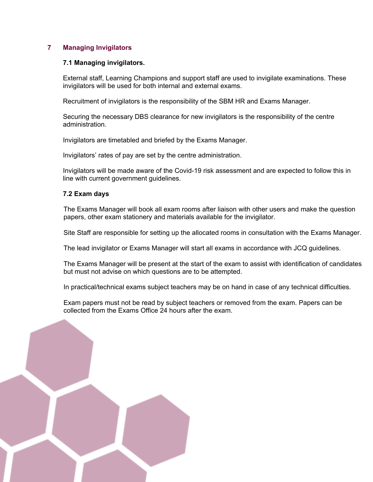# **7 Managing Invigilators**

### **7.1 Managing invigilators.**

External staff, Learning Champions and support staff are used to invigilate examinations. These invigilators will be used for both internal and external exams.

Recruitment of invigilators is the responsibility of the SBM HR and Exams Manager.

Securing the necessary DBS clearance for new invigilators is the responsibility of the centre administration.

Invigilators are timetabled and briefed by the Exams Manager.

Invigilators' rates of pay are set by the centre administration.

Invigilators will be made aware of the Covid-19 risk assessment and are expected to follow this in line with current government guidelines.

#### **7.2 Exam days**

The Exams Manager will book all exam rooms after liaison with other users and make the question papers, other exam stationery and materials available for the invigilator.

Site Staff are responsible for setting up the allocated rooms in consultation with the Exams Manager.

The lead invigilator or Exams Manager will start all exams in accordance with JCQ guidelines.

The Exams Manager will be present at the start of the exam to assist with identification of candidates but must not advise on which questions are to be attempted.

In practical/technical exams subject teachers may be on hand in case of any technical difficulties.

Exam papers must not be read by subject teachers or removed from the exam. Papers can be collected from the Exams Office 24 hours after the exam.

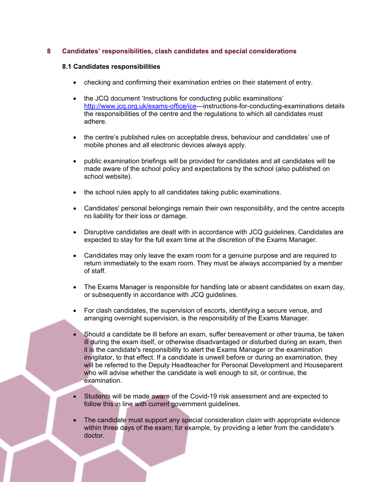# **8 Candidates' responsibilities, clash candidates and special considerations**

#### **8.1 Candidates responsibilities**

- checking and confirming their examination entries on their statement of entry.
- the JCQ document 'Instructions for conducting public examinations' [http://www.jcq.org.uk/exams-office/ice-](http://www.jcq.org.uk/exams-office/ice)--instructions-for-conducting-examinations details the responsibilities of the centre and the regulations to which all candidates must adhere.
- the centre's published rules on acceptable dress, behaviour and candidates' use of mobile phones and all electronic devices always apply.
- public examination briefings will be provided for candidates and all candidates will be made aware of the school policy and expectations by the school (also published on school website).
- the school rules apply to all candidates taking public examinations.
- Candidates' personal belongings remain their own responsibility, and the centre accepts no liability for their loss or damage.
- Disruptive candidates are dealt with in accordance with JCQ guidelines. Candidates are expected to stay for the full exam time at the discretion of the Exams Manager.
- Candidates may only leave the exam room for a genuine purpose and are required to return immediately to the exam room. They must be always accompanied by a member of staff.
- The Exams Manager is responsible for handling late or absent candidates on exam day, or subsequently in accordance with JCQ guidelines.
- For clash candidates, the supervision of escorts, identifying a secure venue, and arranging overnight supervision, is the responsibility of the Exams Manager.
- Should a candidate be ill before an exam, suffer bereavement or other trauma, be taken ill during the exam itself, or otherwise disadvantaged or disturbed during an exam, then it is the candidate's responsibility to alert the Exams Manager or the examination invigilator, to that effect. If a candidate is unwell before or during an examination, they will be referred to the Deputy Headteacher for Personal Development and Houseparent who will advise whether the candidate is well enough to sit, or continue, the examination.
- Students will be made aware of the Covid-19 risk assessment and are expected to follow this in line with current government guidelines.
- The candidate must support any special consideration claim with appropriate evidence within three days of the exam; for example, by providing a letter from the candidate's doctor.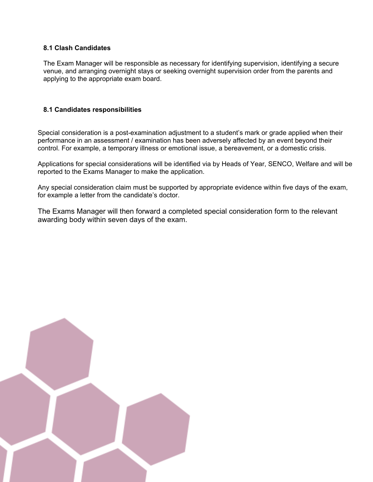# **8.1 Clash Candidates**

The Exam Manager will be responsible as necessary for identifying supervision, identifying a secure venue, and arranging overnight stays or seeking overnight supervision order from the parents and applying to the appropriate exam board.

## **8.1 Candidates responsibilities**

Special consideration is a post-examination adjustment to a student's mark or grade applied when their performance in an assessment / examination has been adversely affected by an event beyond their control. For example, a temporary illness or emotional issue, a bereavement, or a domestic crisis.

Applications for special considerations will be identified via by Heads of Year, SENCO, Welfare and will be reported to the Exams Manager to make the application.

Any special consideration claim must be supported by appropriate evidence within five days of the exam, for example a letter from the candidate's doctor.

The Exams Manager will then forward a completed special consideration form to the relevant awarding body within seven days of the exam.

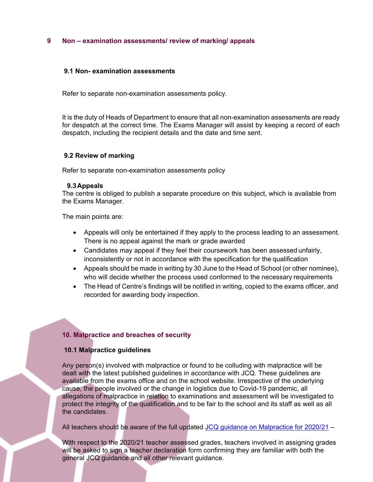#### **9 Non – examination assessments/ review of marking/ appeals**

#### **9.1 Non- examination assessments**

Refer to separate non-examination assessments policy.

It is the duty of Heads of Department to ensure that all non-examination assessments are ready for despatch at the correct time. The Exams Manager will assist by keeping a record of each despatch, including the recipient details and the date and time sent.

#### **9.2 Review of marking**

Refer to separate non-examination assessments policy

#### **9.3Appeals**

The centre is obliged to publish a separate procedure on this subject, which is available from the Exams Manager.

The main points are:

- Appeals will only be entertained if they apply to the process leading to an assessment. There is no appeal against the mark or grade awarded
- Candidates may appeal if they feel their coursework has been assessed unfairly, inconsistently or not in accordance with the specification for the qualification
- Appeals should be made in writing by 30 June to the Head of School (or other nominee), who will decide whether the process used conformed to the necessary requirements
- The Head of Centre's findings will be notified in writing, copied to the exams officer, and recorded for awarding body inspection.

# **10. Malpractice and breaches of security**

#### **10.1 Malpractice guidelines**

Any person(s) involved with malpractice or found to be colluding with malpractice will be dealt with the latest published guidelines in accordance with JCQ. These guidelines are available from the exams office and on the school website. Irrespective of the underlying cause, the people involved or the change in logistics due to Covid-19 pandemic, all allegations of malpractice in relation to examinations and assessment will be investigated to protect the integrity of the qualification and to be fair to the school and its staff as well as all the candidates.

All teachers should be aware of the full updated [JCQ guidance on Malpractice for 2020/21](https://www.jcq.org.uk/exams-office/malpractice/) –

With respect to the 2020/21 teacher assessed grades, teachers involved in assigning grades will be asked to sign a teacher declaration form confirming they are familiar with both the general JCQ guidance and all other relevant guidance.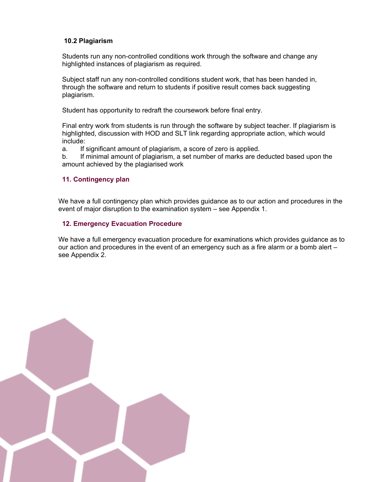# **10.2 Plagiarism**

Students run any non-controlled conditions work through the software and change any highlighted instances of plagiarism as required.

Subject staff run any non-controlled conditions student work, that has been handed in, through the software and return to students if positive result comes back suggesting plagiarism.

Student has opportunity to redraft the coursework before final entry.

Final entry work from students is run through the software by subject teacher. If plagiarism is highlighted, discussion with HOD and SLT link regarding appropriate action, which would include:

a. If significant amount of plagiarism, a score of zero is applied.

b. If minimal amount of plagiarism, a set number of marks are deducted based upon the amount achieved by the plagiarised work

#### **11. Contingency plan**

We have a full contingency plan which provides guidance as to our action and procedures in the event of major disruption to the examination system – see Appendix 1.

#### **12. Emergency Evacuation Procedure**

We have a full emergency evacuation procedure for examinations which provides guidance as to our action and procedures in the event of an emergency such as a fire alarm or a bomb alert – see Appendix 2.